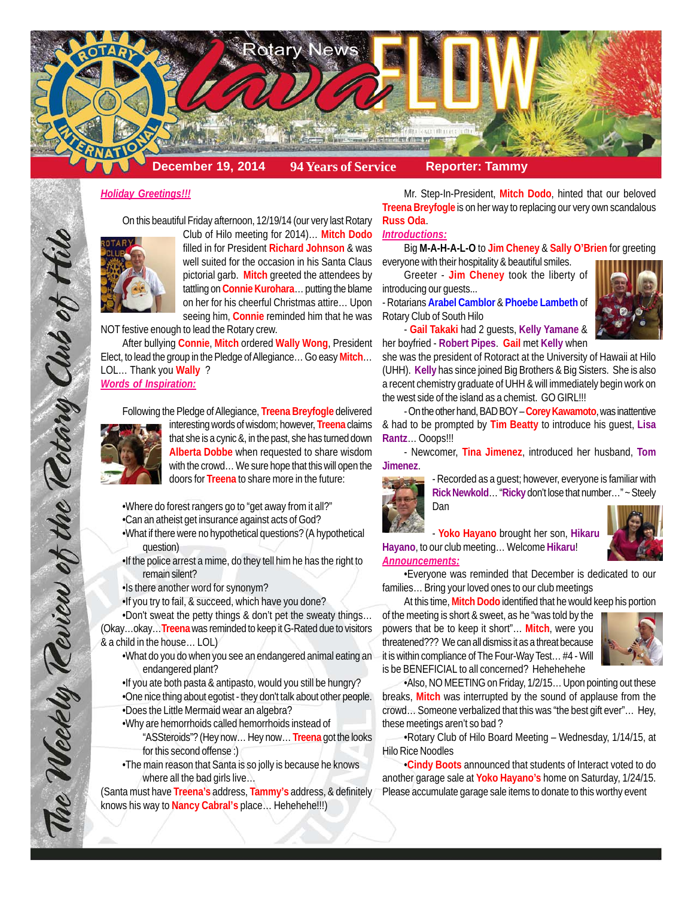

#### *Holiday Greetings!!!*

On this beautiful Friday afternoon, 12/19/14 (our very last Rotary



Club of Hilo meeting for 2014)… **Mitch Dodo** filled in for President **Richard Johnson** & was well suited for the occasion in his Santa Claus pictorial garb. **Mitch** greeted the attendees by tattling on **Connie Kurohara**… putting the blame on her for his cheerful Christmas attire… Upon seeing him, **Connie** reminded him that he was

NOT festive enough to lead the Rotary crew.

After bullying **Connie**, **Mitch** ordered **Wally Wong**, President Elect, to lead the group in the Pledge of Allegiance… Go easy **Mitch**… LOL… Thank you **Wally** ? *Words of Inspiration:*

Following the Pledge of Allegiance, **Treena Breyfogle** delivered

interesting words of wisdom; however, **Treena** claims that she is a cynic &, in the past, she has turned down **Alberta Dobbe** when requested to share wisdom with the crowd… We sure hope that this will open the doors for **Treena** to share more in the future:

•Where do forest rangers go to "get away from it all?"

•Can an atheist get insurance against acts of God?

•What if there were no hypothetical questions? (A hypothetical question)

•If the police arrest a mime, do they tell him he has the right to remain silent?

•Is there another word for synonym?

•If you try to fail, & succeed, which have you done?

•Don't sweat the petty things & don't pet the sweaty things… (Okay…okay…**Treena** was reminded to keep it G-Rated due to visitors & a child in the house… LOL)

•What do you do when you see an endangered animal eating an endangered plant?

•If you ate both pasta & antipasto, would you still be hungry? •One nice thing about egotist - they don't talk about other people. •Does the Little Mermaid wear an algebra?

- •Why are hemorrhoids called hemorrhoids instead of
	- "ASSteroids"? (Hey now… Hey now… **Treena** got the looks for this second offense :)
- •The main reason that Santa is so jolly is because he knows where all the bad girls live…

(Santa must have **Treena's** address, **Tammy's** address, & definitely knows his way to **Nancy Cabral's** place… Hehehehe!!!)

Mr. Step-In-President, **Mitch Dodo**, hinted that our beloved **Treena Breyfogle** is on her way to replacing our very own scandalous **Russ Oda**.

#### *Introductions:*

Big **M-A-H-A-L-O** to **Jim Cheney** & **Sally O'Brien** for greeting

everyone with their hospitality & beautiful smiles. Greeter - **Jim Cheney** took the liberty of

introducing our guests... - Rotarians **Arabel Camblor** & **Phoebe Lambeth** of Rotary Club of South Hilo



- **Gail Takaki** had 2 guests, **Kelly Yamane** & her boyfried - **Robert Pipes**. **Gail** met **Kelly** when

she was the president of Rotoract at the University of Hawaii at Hilo (UHH). **Kelly** has since joined Big Brothers & Big Sisters. She is also a recent chemistry graduate of UHH & will immediately begin work on the west side of the island as a chemist. GO GIRL!!!

- On the other hand, BAD BOY – **Corey Kawamoto**, was inattentive & had to be prompted by **Tim Beatty** to introduce his guest, **Lisa Rantz**… Ooops!!!

- Newcomer, **Tina Jimenez**, introduced her husband, **Tom Jimenez**.



- Recorded as a guest; however, everyone is familiar with **Rick Newkold**… "**Ricky** don't lose that number…" ~ Steely Dan

- **Yoko Hayano** brought her son, **Hikaru Hayano**, to our club meeting… Welcome **Hikaru**! *Announcements:*

•Everyone was reminded that December is dedicated to our families… Bring your loved ones to our club meetings

At this time, **Mitch Dodo** identified that he would keep his portion

of the meeting is short & sweet, as he "was told by the powers that be to keep it short"… **Mitch**, were you threatened??? We can all dismiss it as a threat because it is within compliance of The Four-Way Test… #4 - Will is be BENEFICIAL to all concerned? Hehehehehe



•Also, NO MEETING on Friday, 1/2/15… Upon pointing out these breaks, **Mitch** was interrupted by the sound of applause from the crowd… Someone verbalized that this was "the best gift ever"… Hey, these meetings aren't so bad ?

•Rotary Club of Hilo Board Meeting – Wednesday, 1/14/15, at Hilo Rice Noodles

•**Cindy Boots** announced that students of Interact voted to do another garage sale at **Yoko Hayano's** home on Saturday, 1/24/15. Please accumulate garage sale items to donate to this worthy event

The Weekly Teview of the Tetary Club of Hill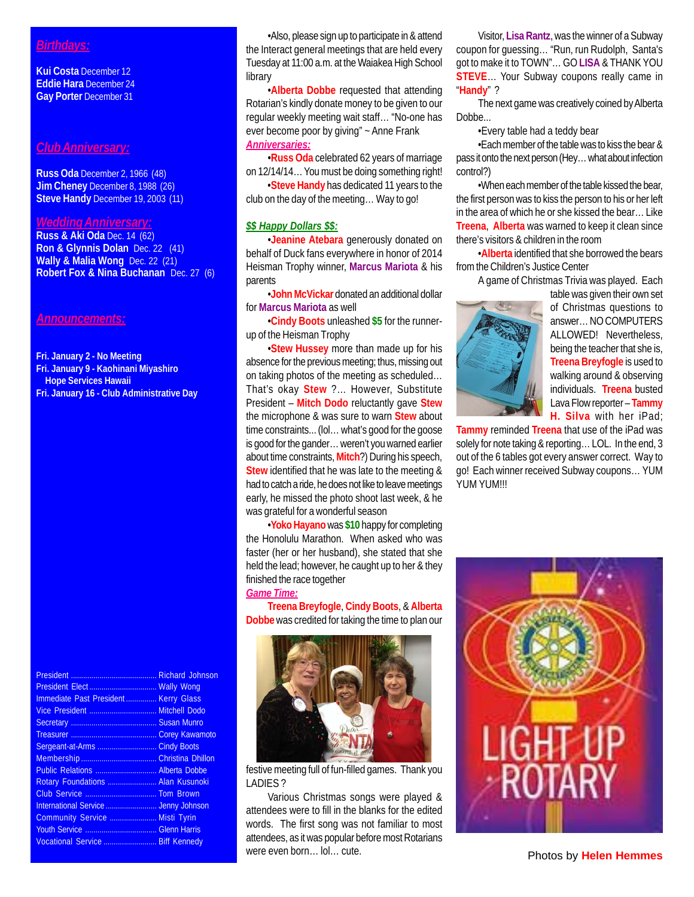# *Birthdays:*

**Kui Costa** December 12 **Eddie Hara** December 24 **Gay Porter** December 31

### *Club Anniversary:*

**Russ Oda** December 2, 1966 (48) **Jim Cheney** December 8, 1988 (26) **Steve Handy** December 19, 2003 (11)

## *Wedding Anniversary:*

**Russ & Aki Oda** Dec. 14 (62) **Ron & Glynnis Dolan** Dec. 22 (41) **Wally & Malia Wong** Dec. 22 (21) **Robert Fox & Nina Buchanan** Dec. 27 (6)

### *Announcements:*

**Fri. January 2 - No Meeting**

- **Fri. January 9 Kaohinani Miyashiro**
- **Hope Services Hawaii**
- **Fri. January 16 Club Administrative Day**

|                                      | <b>Richard Johnson</b> |
|--------------------------------------|------------------------|
| President Elect Wally Wong           |                        |
| Immediate Past President Kerry Glass |                        |
|                                      |                        |
|                                      |                        |
|                                      |                        |
|                                      | <b>Cindy Boots</b>     |
|                                      |                        |
| Public Relations  Alberta Dobbe      |                        |
| Rotary Foundations  Alan Kusunoki    |                        |
|                                      |                        |
|                                      |                        |
| Community Service  Misti Tyrin       |                        |
|                                      |                        |
| Vocational Service  Biff Kennedy     |                        |

•Also, please sign up to participate in & attend the Interact general meetings that are held every Tuesday at 11:00 a.m. at the Waiakea High School library

•**Alberta Dobbe** requested that attending Rotarian's kindly donate money to be given to our regular weekly meeting wait staff… "No-one has ever become poor by giving" ~ Anne Frank *Anniversaries:*

•**Russ Oda** celebrated 62 years of marriage on 12/14/14… You must be doing something right!

•**Steve Handy** has dedicated 11 years to the club on the day of the meeting… Way to go!

### *\$\$ Happy Dollars \$\$:*

•**Jeanine Atebara** generously donated on behalf of Duck fans everywhere in honor of 2014 Heisman Trophy winner, **Marcus Mariota** & his parents

•**John McVickar** donated an additional dollar for **Marcus Mariota** as well

•**Cindy Boots** unleashed **\$5** for the runnerup of the Heisman Trophy

•**Stew Hussey** more than made up for his absence for the previous meeting; thus, missing out on taking photos of the meeting as scheduled… That's okay **Stew** ?… However, Substitute President – **Mitch Dodo** reluctantly gave **Stew** the microphone & was sure to warn **Stew** about time constraints... (lol… what's good for the goose is good for the gander… weren't you warned earlier about time constraints, **Mitch**?) During his speech, **Stew** identified that he was late to the meeting & had to catch a ride, he does not like to leave meetings early, he missed the photo shoot last week, & he was grateful for a wonderful season

•**Yoko Hayano** was **\$10** happy for completing the Honolulu Marathon. When asked who was faster (her or her husband), she stated that she held the lead; however, he caught up to her & they finished the race together

# *Game Time:*

**Treena Breyfogle**, **Cindy Boots**, & **Alberta Dobbe** was credited for taking the time to plan our



festive meeting full of fun-filled games. Thank you LADIES ?

Various Christmas songs were played & attendees were to fill in the blanks for the edited words. The first song was not familiar to most attendees, as it was popular before most Rotarians were even born... lol... cute.

Visitor, **Lisa Rantz**, was the winner of a Subway coupon for guessing… "Run, run Rudolph, Santa's got to make it to TOWN"… GO **LISA** & THANK YOU **STEVE**… Your Subway coupons really came in "**Handy**" ?

The next game was creatively coined by Alberta Dobbe...

•Every table had a teddy bear

•Each member of the table was to kiss the bear & pass it onto the next person (Hey… what about infection control?)

•When each member of the table kissed the bear, the first person was to kiss the person to his or her left in the area of which he or she kissed the bear… Like **Treena**, **Alberta** was warned to keep it clean since there's visitors & children in the room

•**Alberta** identified that she borrowed the bears from the Children's Justice Center

A game of Christmas Trivia was played. Each



table was given their own set of Christmas questions to answer… NO COMPUTERS ALLOWED! Nevertheless, being the teacher that she is, **Treena Breyfogle** is used to walking around & observing individuals. **Treena** busted Lava Flow reporter – **Tammy H. Silva** with her iPad;

**Tammy** reminded **Treena** that use of the iPad was solely for note taking & reporting… LOL. In the end, 3 out of the 6 tables got every answer correct. Way to go! Each winner received Subway coupons… YUM YUM YUM!!!